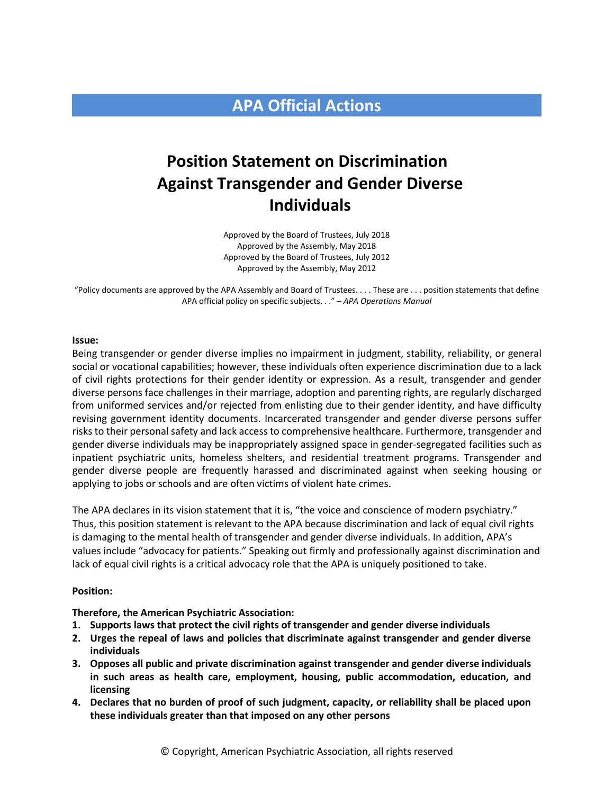# **APA Official Actions**

# **Position Statement on Discrimination Against Transgender and Gender Diverse Individuals**

Approved by the Board of Trustees, July 2018 Approved by the Assembly, May 2018 Approved by the Board of Trustees, July 2012 Approved by the Assembly, May 2012

"Policy documents are approved by the APA Assembly and Board of Trustees. . . . These are . . . position statements that define APA official policy on specific subjects. . ." – *APA Operations Manual*

#### **Issue:**

Being transgender or gender diverse implies no impairment in judgment, stability, reliability, or general social or vocational capabilities; however, these individuals often experience discrimination due to a lack of civil rights protections for their gender identity or expression. As a result, transgender and gender diverse persons face challenges in their marriage, adoption and parenting rights, are regularly discharged from uniformed services and/or rejected from enlisting due to their gender identity, and have difficulty revising government identity documents. Incarcerated transgender and gender diverse persons suffer risks to their personal safety and lack access to comprehensive healthcare. Furthermore, transgender and gender diverse individuals may be inappropriately assigned space in gender-segregated facilities such as inpatient psychiatric units, homeless shelters, and residential treatment programs. Transgender and gender diverse people are frequently harassed and discriminated against when seeking housing or applying to jobs or schools and are often victims of violent hate crimes.

The APA declares in its vision statement that it is, "the voice and conscience of modern psychiatry." Thus, this position statement is relevant to the APA because discrimination and lack of equal civil rights is damaging to the mental health of transgender and gender diverse individuals. In addition, APA's values include "advocacy for patients." Speaking out firmly and professionally against discrimination and lack of equal civil rights is a critical advocacy role that the APA is uniquely positioned to take.

#### **Position:**

### **Therefore, the American Psychiatric Association:**

- **1. Supports laws that protect the civil rights of transgender and gender diverse individuals**
- **2. Urges the repeal of laws and policies that discriminate against transgender and gender diverse individuals**
- **3. Opposes all public and private discrimination against transgender and gender diverse individuals in such areas as health care, employment, housing, public accommodation, education, and licensing**
- **4. Declares that no burden of proof of such judgment, capacity, or reliability shall be placed upon these individuals greater than that imposed on any other persons**